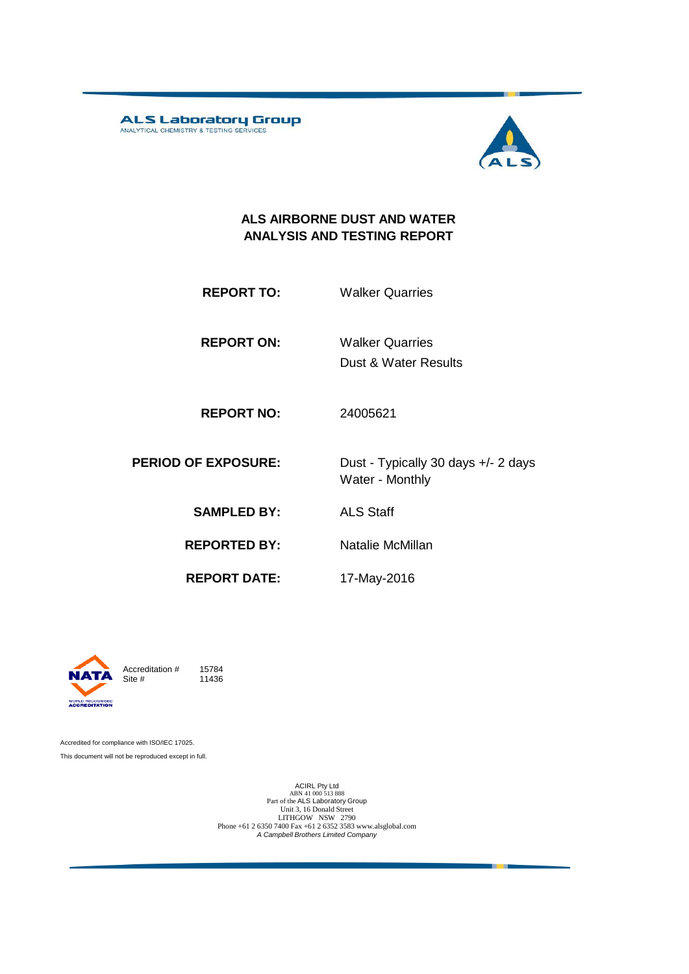ALS Laboratory Group



#### **ALS AIRBORNE DUST AND WATER ANALYSIS AND TESTING REPORT**

**REPORT ON:** Walker Quarries

Dust & Water Results

**REPORT NO:** 24005621

**PERIOD OF EXPOSURE:** Dust - Typically 30 days +/- 2 days Water - Monthly

**SAMPLED BY:** ALS Staff

**REPORTED BY:** Natalie McMillan

**REPORT DATE:** 17-May-2016



Accreditation  $\#$  15784<br>Site  $\#$  11436 11436

Accredited for compliance with ISO/IEC 17025. This document will not be reproduced except in full.

> ACIRL Pty Ltd<br>
> ABN 41 000 513 888<br>
> Part of the ALS Laboratory Group<br>
> Unit 3, 16 Donald Street LITHGOW NSW 2790 Phone +61 2 6350 7400 Fax +61 2 6352 3583 www.alsglobal.com *A Campbell Brothers Limited Company*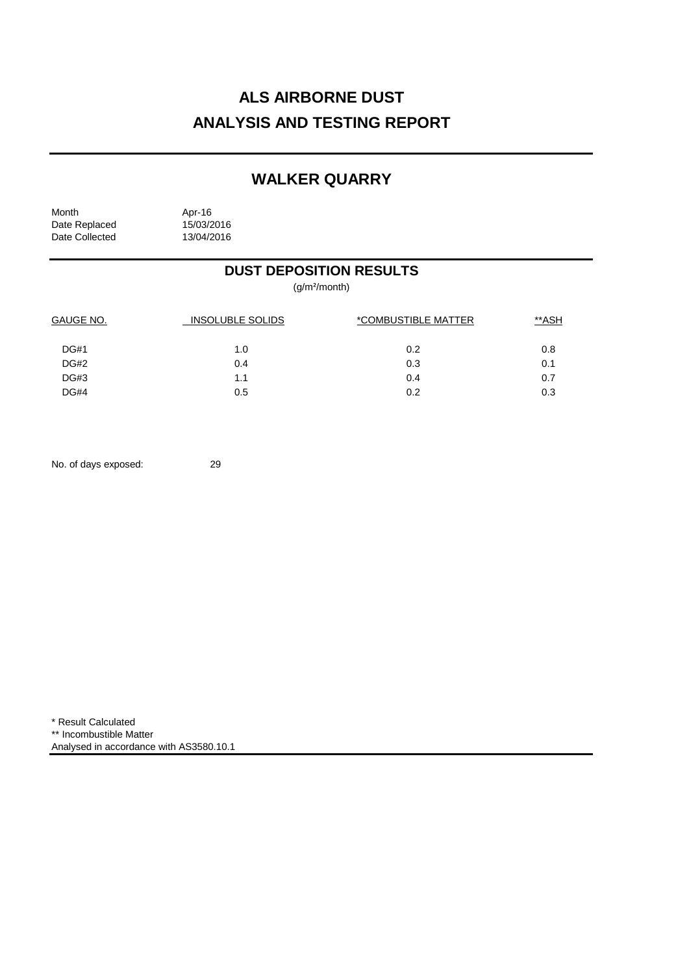# **ALS AIRBORNE DUST ANALYSIS AND TESTING REPORT**

## **WALKER QUARRY**

| Month          | Apr-16     |
|----------------|------------|
| Date Replaced  | 15/03/2016 |
| Date Collected | 13/04/2016 |

## **DUST DEPOSITION RESULTS**

(g/m²/month)

| <b>GAUGE NO.</b> | <b>INSOLUBLE SOLIDS</b> | *COMBUSTIBLE MATTER | **ASH |
|------------------|-------------------------|---------------------|-------|
| <b>DG#1</b>      | 1.0                     | 0.2                 | 0.8   |
| DG#2             | 0.4                     | 0.3                 | 0.1   |
| DG#3             | 1.1                     | 0.4                 | 0.7   |
| <b>DG#4</b>      | 0.5                     | 0.2                 | 0.3   |

No. of days exposed: 29

\* Result Calculated \*\* Incombustible Matter Analysed in accordance with AS3580.10.1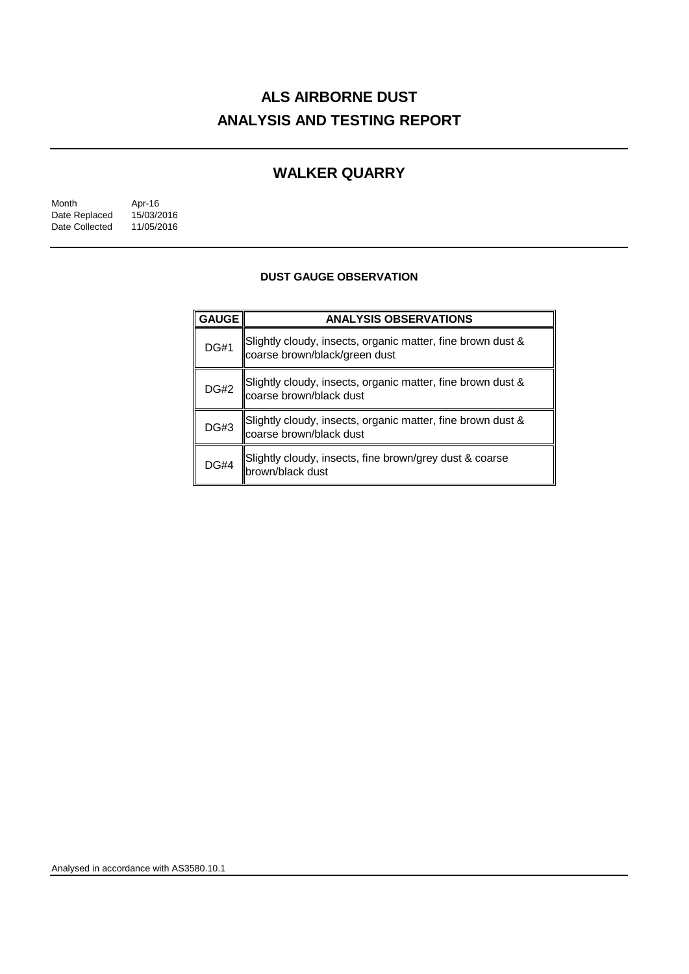# **ALS AIRBORNE DUST ANALYSIS AND TESTING REPORT**

## **WALKER QUARRY**

| Month          | Apr-16     |
|----------------|------------|
| Date Replaced  | 15/03/2016 |
| Date Collected | 11/05/2016 |

### **DUST GAUGE OBSERVATION**

| GAUGE       | <b>ANALYSIS OBSERVATIONS</b>                                                                 |  |  |
|-------------|----------------------------------------------------------------------------------------------|--|--|
| <b>DG#1</b> | Slightly cloudy, insects, organic matter, fine brown dust &<br>coarse brown/black/green dust |  |  |
| <b>DG#2</b> | Slightly cloudy, insects, organic matter, fine brown dust &<br>coarse brown/black dust       |  |  |
| <b>DG#3</b> | Slightly cloudy, insects, organic matter, fine brown dust &<br>coarse brown/black dust       |  |  |
| <b>DG#4</b> | Slightly cloudy, insects, fine brown/grey dust & coarse<br>brown/black dust                  |  |  |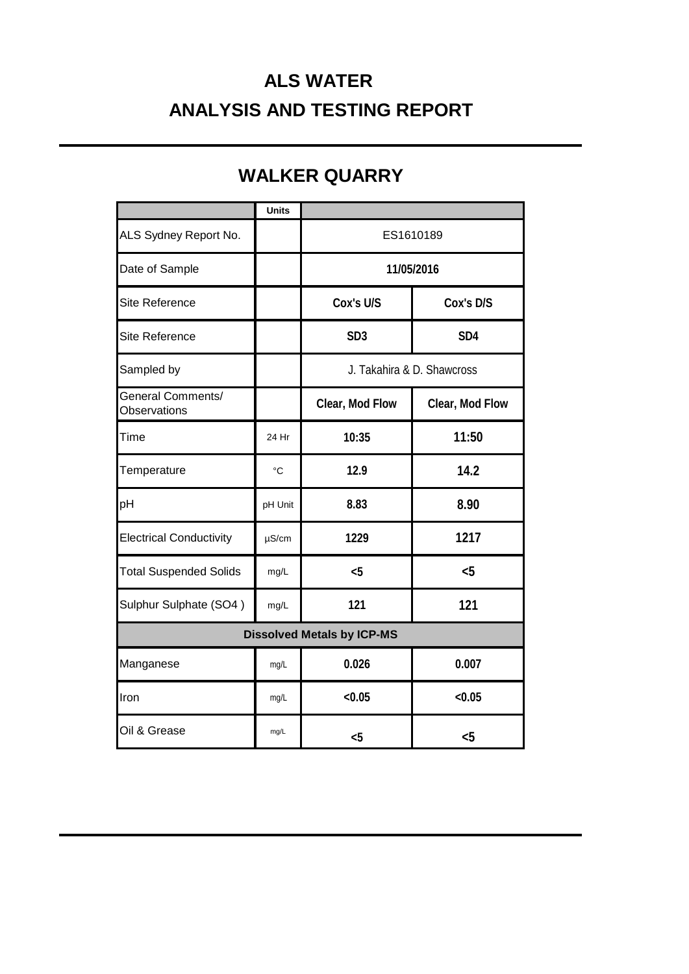# **ALS WATER ANALYSIS AND TESTING REPORT**

|                                          | <b>Units</b> |                            |                 |
|------------------------------------------|--------------|----------------------------|-----------------|
| ALS Sydney Report No.                    |              | ES1610189                  |                 |
| Date of Sample                           |              | 11/05/2016                 |                 |
| <b>Site Reference</b>                    |              | Cox's U/S                  | Cox's D/S       |
| <b>Site Reference</b>                    |              | SD <sub>3</sub>            | SD <sub>4</sub> |
| Sampled by                               |              | J. Takahira & D. Shawcross |                 |
| General Comments/<br><b>Observations</b> |              | Clear, Mod Flow            | Clear, Mod Flow |
| Time                                     | 24 Hr        | 10:35                      | 11:50           |
| Temperature                              | $^{\circ}C$  | 12.9                       | 14.2            |
| pH                                       | pH Unit      | 8.83                       | 8.90            |
| <b>Electrical Conductivity</b>           | $\mu$ S/cm   | 1229                       | 1217            |
| <b>Total Suspended Solids</b>            | mg/L         | $5$                        | $5$             |
| Sulphur Sulphate (SO4)                   | mg/L         | 121                        | 121             |
| <b>Dissolved Metals by ICP-MS</b>        |              |                            |                 |
| Manganese                                | mg/L         | 0.026                      | 0.007           |
| Iron                                     | mg/L         | < 0.05                     | < 0.05          |
| Oil & Grease                             | mg/L         | $5$                        | &5              |

# **WALKER QUARRY**